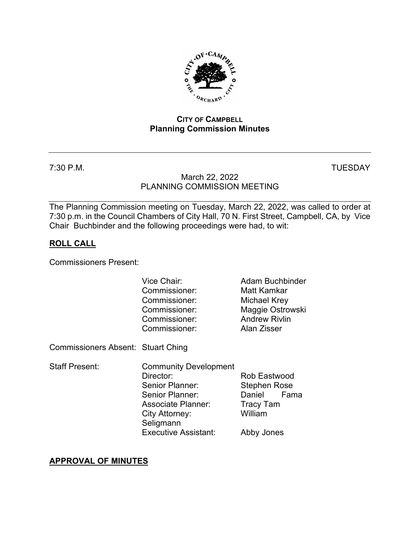

### **CITY OF CAMPBELL Planning Commission Minutes**

7:30 P.M. TUESDAY

## March 22, 2022 PLANNING COMMISSION MEETING

The Planning Commission meeting on Tuesday, March 22, 2022, was called to order at 7:30 p.m. in the Council Chambers of City Hall, 70 N. First Street, Campbell, CA, by Vice Chair Buchbinder and the following proceedings were had, to wit:

# **ROLL CALL**

Commissioners Present:

|                                    | Vice Chair:<br>Commissioner:<br>Commissioner:<br>Commissioner:<br>Commissioner:<br>Commissioner:                                                                           | Adam Buchbinder<br>Matt Kamkar<br><b>Michael Krey</b><br>Maggie Ostrowski<br><b>Andrew Rivlin</b><br>Alan Zisser |
|------------------------------------|----------------------------------------------------------------------------------------------------------------------------------------------------------------------------|------------------------------------------------------------------------------------------------------------------|
| Commissioners Absent: Stuart Ching |                                                                                                                                                                            |                                                                                                                  |
| Staff Present:                     | <b>Community Development</b><br>Director:<br>Senior Planner:<br>Senior Planner:<br><b>Associate Planner:</b><br>City Attorney:<br>Seligmann<br><b>Executive Assistant:</b> | Rob Eastwood<br><b>Stephen Rose</b><br>Daniel<br>Fama<br>Tracy Tam<br>William<br>Abby Jones                      |

# **APPROVAL OF MINUTES**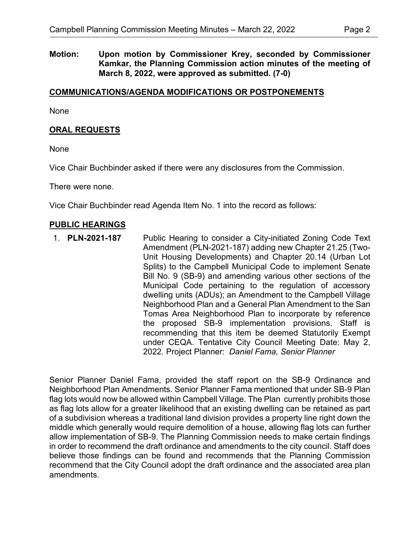**Motion: Upon motion by Commissioner Krey, seconded by Commissioner Kamkar, the Planning Commission action minutes of the meeting of March 8, 2022, were approved as submitted. (7-0)**

### **COMMUNICATIONS/AGENDA MODIFICATIONS OR POSTPONEMENTS**

None

### **ORAL REQUESTS**

None

Vice Chair Buchbinder asked if there were any disclosures from the Commission.

There were none.

Vice Chair Buchbinder read Agenda Item No. 1 into the record as follows:

#### **PUBLIC HEARINGS**

1. **PLN-2021-187** Public Hearing to consider a City-initiated Zoning Code Text Amendment (PLN-2021-187) adding new Chapter 21.25 (Two-Unit Housing Developments) and Chapter 20.14 (Urban Lot Splits) to the Campbell Municipal Code to implement Senate Bill No. 9 (SB-9) and amending various other sections of the Municipal Code pertaining to the regulation of accessory dwelling units (ADUs); an Amendment to the Campbell Village Neighborhood Plan and a General Plan Amendment to the San Tomas Area Neighborhood Plan to incorporate by reference the proposed SB-9 implementation provisions. Staff is recommending that this item be deemed Statutorily Exempt under CEQA. Tentative City Council Meeting Date: May 2, 2022. Project Planner: *Daniel Fama, Senior Planner*

Senior Planner Daniel Fama, provided the staff report on the SB-9 Ordinance and Neighborhood Plan Amendments. Senior Planner Fama mentioned that under SB-9 Plan flag lots would now be allowed within Campbell Village. The Plan currently prohibits those as flag lots allow for a greater likelihood that an existing dwelling can be retained as part of a subdivision whereas a traditional land division provides a property line right down the middle which generally would require demolition of a house, allowing flag lots can further allow implementation of SB-9. The Planning Commission needs to make certain findings in order to recommend the draft ordinance and amendments to the city council. Staff does believe those findings can be found and recommends that the Planning Commission recommend that the City Council adopt the draft ordinance and the associated area plan amendments.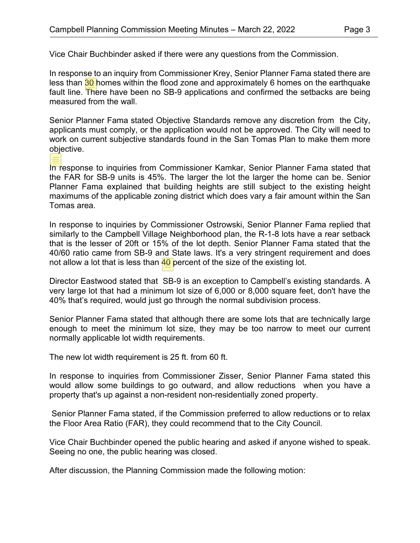Vice Chair Buchbinder asked if there were any questions from the Commission.

In response to an inquiry from Commissioner Krey, Senior Planner Fama stated there are less than  $30$  homes within the flood zone and approximately 6 homes on the earthquake fault line. There have been no SB-9 applications and confirmed the setbacks are being measured from the wall.

Senior Planner Fama stated Objective Standards remove any discretion from the City, applicants must comply, or the application would not be approved. The City will need to work on current subjective standards found in the San Tomas Plan to make them more objective.

In response to inquiries from Commissioner Kamkar, Senior Planner Fama stated that the FAR for SB-9 units is 45%. The larger the lot the larger the home can be. Senior Planner Fama explained that building heights are still subject to the existing height maximums of the applicable zoning district which does vary a fair amount within the San Tomas area.

In response to inquiries by Commissioner Ostrowski, Senior Planner Fama replied that similarly to the Campbell Village Neighborhood plan, the R-1-8 lots have a rear setback that is the lesser of 20ft or 15% of the lot depth. Senior Planner Fama stated that the 40/60 ratio came from SB-9 and State laws. It's a very stringent requirement and does not allow a lot that is less than  $40$  percent of the size of the existing lot.

Director Eastwood stated that SB-9 is an exception to Campbell's existing standards. A very large lot that had a minimum lot size of 6,000 or 8,000 square feet, don't have the 40% that's required, would just go through the normal subdivision process.

Senior Planner Fama stated that although there are some lots that are technically large enough to meet the minimum lot size, they may be too narrow to meet our current normally applicable lot width requirements.

The new lot width requirement is 25 ft. from 60 ft.

In response to inquiries from Commissioner Zisser, Senior Planner Fama stated this would allow some buildings to go outward, and allow reductions when you have a property that's up against a non-resident non-residentially zoned property.

Senior Planner Fama stated, if the Commission preferred to allow reductions or to relax the Floor Area Ratio (FAR), they could recommend that to the City Council.

Vice Chair Buchbinder opened the public hearing and asked if anyone wished to speak. Seeing no one, the public hearing was closed.

After discussion, the Planning Commission made the following motion: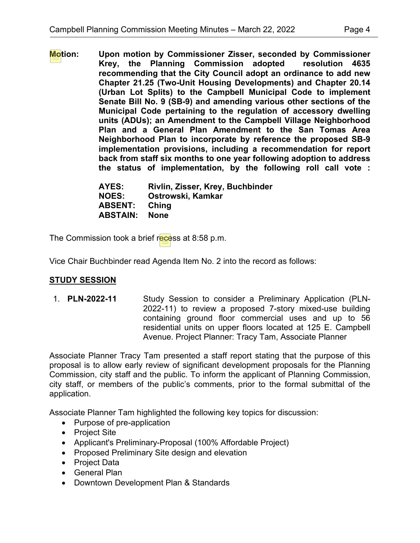**Motion: Upon motion by Commissioner Zisser, seconded by Commissioner Krey, the Planning Commission adopted resolution 4635 recommending that the City Council adopt an ordinance to add new Chapter 21.25 (Two-Unit Housing Developments) and Chapter 20.14 (Urban Lot Splits) to the Campbell Municipal Code to implement Senate Bill No. 9 (SB-9) and amending various other sections of the Municipal Code pertaining to the regulation of accessory dwelling units (ADUs); an Amendment to the Campbell Village Neighborhood Plan and a General Plan Amendment to the San Tomas Area Neighborhood Plan to incorporate by reference the proposed SB-9 implementation provisions, including a recommendation for report back from staff six months to one year following adoption to address the status of implementation, by the following roll call vote :** 

| AYES:           | Rivlin, Zisser, Krey, Buchbinder |
|-----------------|----------------------------------|
| <b>NOES:</b>    | Ostrowski, Kamkar                |
| <b>ABSENT:</b>  | Ching                            |
| <b>ABSTAIN:</b> | <b>None</b>                      |

The Commission took a brief recess at 8:58 p.m.

Vice Chair Buchbinder read Agenda Item No. 2 into the record as follows:

# **STUDY SESSION**

1. **PLN-2022-11** Study Session to consider a Preliminary Application (PLN-2022-11) to review a proposed 7-story mixed-use building containing ground floor commercial uses and up to 56 residential units on upper floors located at 125 E. Campbell Avenue. Project Planner: Tracy Tam, Associate Planner

Associate Planner Tracy Tam presented a staff report stating that the purpose of this proposal is to allow early review of significant development proposals for the Planning Commission, city staff and the public. To inform the applicant of Planning Commission, city staff, or members of the public's comments, prior to the formal submittal of the application.

Associate Planner Tam highlighted the following key topics for discussion:

- Purpose of pre-application
- Project Site
- Applicant's Preliminary-Proposal (100% Affordable Project)
- Proposed Preliminary Site design and elevation
- Project Data
- General Plan
- Downtown Development Plan & Standards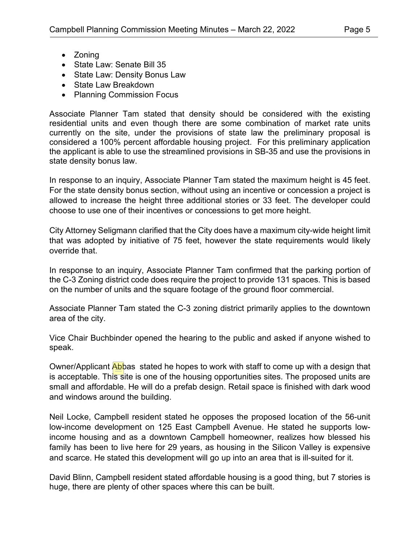- Zoning
- State Law: Senate Bill 35
- State Law: Density Bonus Law
- State Law Breakdown
- Planning Commission Focus

Associate Planner Tam stated that density should be considered with the existing residential units and even though there are some combination of market rate units currently on the site, under the provisions of state law the preliminary proposal is considered a 100% percent affordable housing project. For this preliminary application the applicant is able to use the streamlined provisions in SB-35 and use the provisions in state density bonus law.

In response to an inquiry, Associate Planner Tam stated the maximum height is 45 feet. For the state density bonus section, without using an incentive or concession a project is allowed to increase the height three additional stories or 33 feet. The developer could choose to use one of their incentives or concessions to get more height.

City Attorney Seligmann clarified that the City does have a maximum city-wide height limit that was adopted by initiative of 75 feet, however the state requirements would likely override that.

In response to an inquiry, Associate Planner Tam confirmed that the parking portion of the C-3 Zoning district code does require the project to provide 131 spaces. This is based on the number of units and the square footage of the ground floor commercial.

Associate Planner Tam stated the C-3 zoning district primarily applies to the downtown area of the city.

Vice Chair Buchbinder opened the hearing to the public and asked if anyone wished to speak.

Owner/Applicant Abbas stated he hopes to work with staff to come up with a design that is acceptable. This site is one of the housing opportunities sites. The proposed units are small and affordable. He will do a prefab design. Retail space is finished with dark wood and windows around the building.

Neil Locke, Campbell resident stated he opposes the proposed location of the 56-unit low-income development on 125 East Campbell Avenue. He stated he supports lowincome housing and as a downtown Campbell homeowner, realizes how blessed his family has been to live here for 29 years, as housing in the Silicon Valley is expensive and scarce. He stated this development will go up into an area that is ill-suited for it.

David Blinn, Campbell resident stated affordable housing is a good thing, but 7 stories is huge, there are plenty of other spaces where this can be built.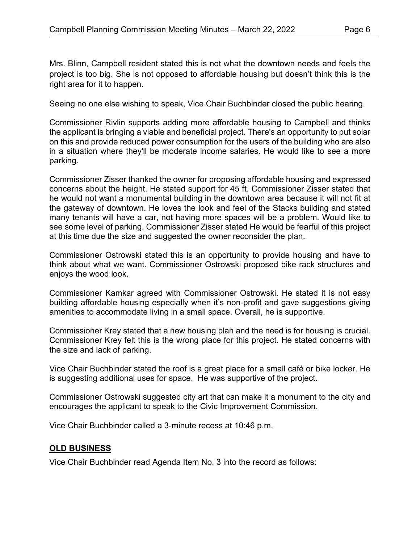Mrs. Blinn, Campbell resident stated this is not what the downtown needs and feels the project is too big. She is not opposed to affordable housing but doesn't think this is the right area for it to happen.

Seeing no one else wishing to speak, Vice Chair Buchbinder closed the public hearing.

Commissioner Rivlin supports adding more affordable housing to Campbell and thinks the applicant is bringing a viable and beneficial project. There's an opportunity to put solar on this and provide reduced power consumption for the users of the building who are also in a situation where they'll be moderate income salaries. He would like to see a more parking.

Commissioner Zisser thanked the owner for proposing affordable housing and expressed concerns about the height. He stated support for 45 ft. Commissioner Zisser stated that he would not want a monumental building in the downtown area because it will not fit at the gateway of downtown. He loves the look and feel of the Stacks building and stated many tenants will have a car, not having more spaces will be a problem. Would like to see some level of parking. Commissioner Zisser stated He would be fearful of this project at this time due the size and suggested the owner reconsider the plan.

Commissioner Ostrowski stated this is an opportunity to provide housing and have to think about what we want. Commissioner Ostrowski proposed bike rack structures and enjoys the wood look.

Commissioner Kamkar agreed with Commissioner Ostrowski. He stated it is not easy building affordable housing especially when it's non-profit and gave suggestions giving amenities to accommodate living in a small space. Overall, he is supportive.

Commissioner Krey stated that a new housing plan and the need is for housing is crucial. Commissioner Krey felt this is the wrong place for this project. He stated concerns with the size and lack of parking.

Vice Chair Buchbinder stated the roof is a great place for a small café or bike locker. He is suggesting additional uses for space. He was supportive of the project.

Commissioner Ostrowski suggested city art that can make it a monument to the city and encourages the applicant to speak to the Civic Improvement Commission.

Vice Chair Buchbinder called a 3-minute recess at 10:46 p.m.

# **OLD BUSINESS**

Vice Chair Buchbinder read Agenda Item No. 3 into the record as follows: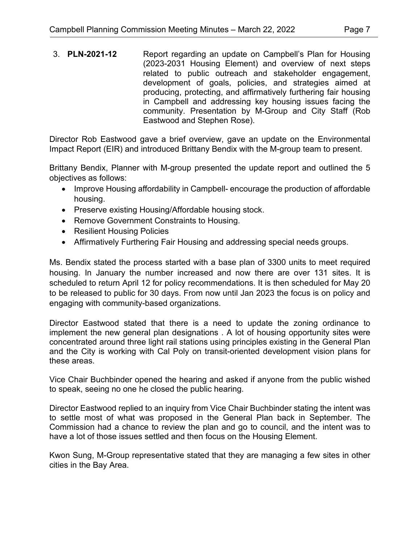3. **PLN-2021-12** Report regarding an update on Campbell's Plan for Housing (2023-2031 Housing Element) and overview of next steps related to public outreach and stakeholder engagement, development of goals, policies, and strategies aimed at producing, protecting, and affirmatively furthering fair housing in Campbell and addressing key housing issues facing the community. Presentation by M-Group and City Staff (Rob Eastwood and Stephen Rose).

Director Rob Eastwood gave a brief overview, gave an update on the Environmental Impact Report (EIR) and introduced Brittany Bendix with the M-group team to present.

Brittany Bendix, Planner with M-group presented the update report and outlined the 5 objectives as follows:

- Improve Housing affordability in Campbell- encourage the production of affordable housing.
- Preserve existing Housing/Affordable housing stock.
- Remove Government Constraints to Housing.
- Resilient Housing Policies
- Affirmatively Furthering Fair Housing and addressing special needs groups.

Ms. Bendix stated the process started with a base plan of 3300 units to meet required housing. In January the number increased and now there are over 131 sites. It is scheduled to return April 12 for policy recommendations. It is then scheduled for May 20 to be released to public for 30 days. From now until Jan 2023 the focus is on policy and engaging with community-based organizations.

Director Eastwood stated that there is a need to update the zoning ordinance to implement the new general plan designations . A lot of housing opportunity sites were concentrated around three light rail stations using principles existing in the General Plan and the City is working with Cal Poly on transit-oriented development vision plans for these areas.

Vice Chair Buchbinder opened the hearing and asked if anyone from the public wished to speak, seeing no one he closed the public hearing.

Director Eastwood replied to an inquiry from Vice Chair Buchbinder stating the intent was to settle most of what was proposed in the General Plan back in September. The Commission had a chance to review the plan and go to council, and the intent was to have a lot of those issues settled and then focus on the Housing Element.

Kwon Sung, M-Group representative stated that they are managing a few sites in other cities in the Bay Area.